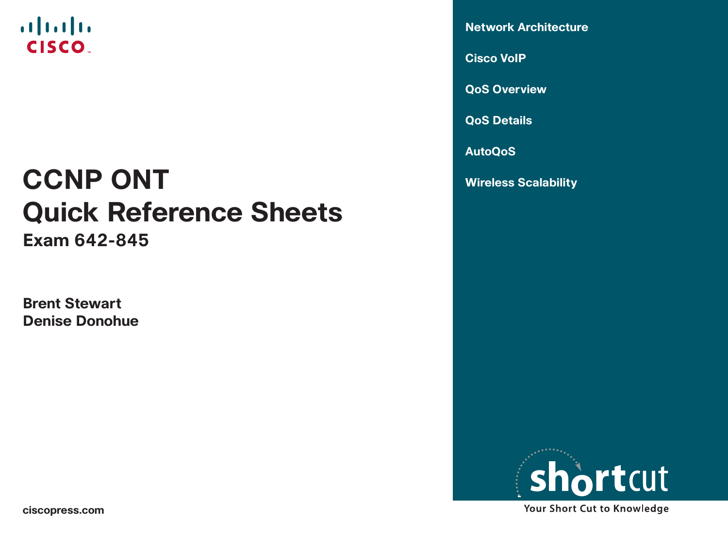# $(1)$  $(1)$ **CISCO**

# **CCNP ONT Quick Reference Sheets**

**Exam 642-845**

**Brent Stewart Denise Donohue** **Network Architecture**

**Cisco VoIP**

**QoS Overview**

**QoS Details**

**AutoQoS**

**Wireless Scalability**



**Your Short Cut to Knowledge**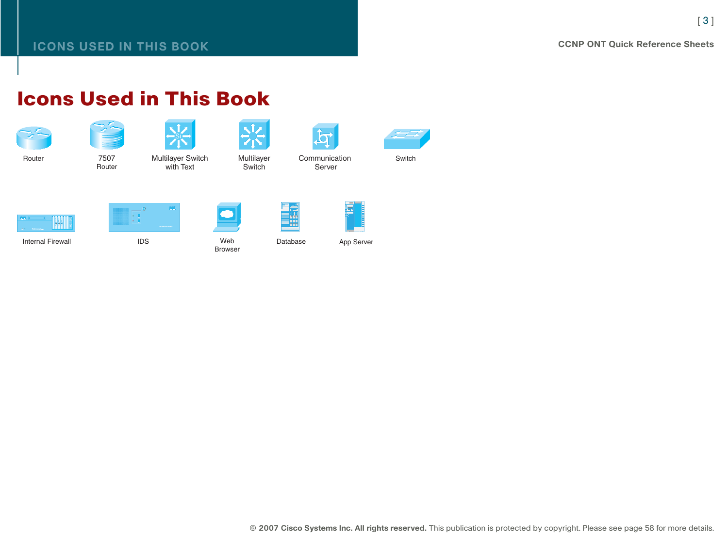[ 3 ]

### Icons Used in This Book





Router



Multilayer Switch with Text





lo

Server



Communication Switch

 $\frac{1}{2} \frac{1}{2} \frac{1}{2} \frac{1}{2}$ **THE** 

Router 7507



**Pin** 

Web Browser Internal Firewall **IDS** IDS Web Database

Multilayer **Switch** 

H

٢F



App Server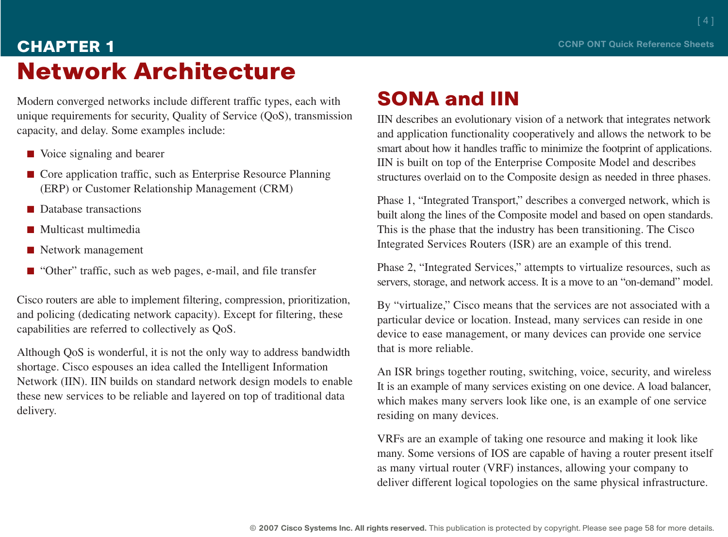[ 4 ]

# **CHAPTER 1** Network Architecture

Modern converged networks include different traffic types, each with unique requirements for security, Quality of Service (QoS), transmission capacity, and delay. Some examples include:

- $\blacksquare$  Voice signaling and bearer
- Core application traffic, such as Enterprise Resource Planning (ERP) or Customer Relationship Management (CRM)
- **n** Database transactions
- $\blacksquare$  Multicast multimedia
- **Network management**
- "Other" traffic, such as web pages, e-mail, and file transfer

Cisco routers are able to implement filtering, compression, prioritization, and policing (dedicating network capacity). Except for filtering, these capabilities are referred to collectively as QoS.

Although QoS is wonderful, it is not the only way to address bandwidth shortage. Cisco espouses an idea called the Intelligent Information Network (IIN). IIN builds on standard network design models to enable these new services to be reliable and layered on top of traditional data delivery.

# SONA and IIN

IIN describes an evolutionary vision of a network that integrates network and application functionality cooperatively and allows the network to be smart about how it handles traffic to minimize the footprint of applications. IIN is built on top of the Enterprise Composite Model and describes structures overlaid on to the Composite design as needed in three phases.

Phase 1, "Integrated Transport," describes a converged network, which is built along the lines of the Composite model and based on open standards. This is the phase that the industry has been transitioning. The Cisco Integrated Services Routers (ISR) are an example of this trend.

Phase 2, "Integrated Services," attempts to virtualize resources, such as servers, storage, and network access. It is a move to an "on-demand" model.

By "virtualize," Cisco means that the services are not associated with a particular device or location. Instead, many services can reside in one device to ease management, or many devices can provide one service that is more reliable.

An ISR brings together routing, switching, voice, security, and wireless It is an example of many services existing on one device. A load balancer, which makes many servers look like one, is an example of one service residing on many devices.

VRFs are an example of taking one resource and making it look like many. Some versions of IOS are capable of having a router present itself as many virtual router (VRF) instances, allowing your company to deliver different logical topologies on the same physical infrastructure.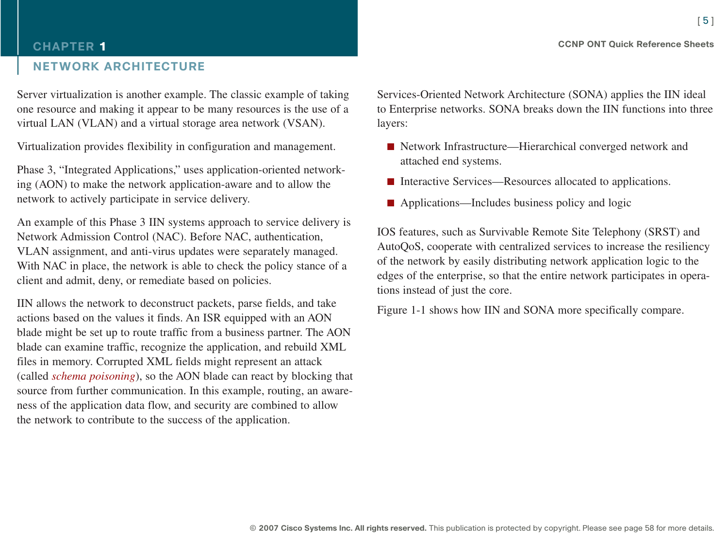[ 5 ]

#### **CHAPTER** 1

#### **NETWORK ARCHITECTURE**

Server virtualization is another example. The classic example of taking one resource and making it appear to be many resources is the use of a virtual LAN (VLAN) and a virtual storage area network (VSAN).

Virtualization provides flexibility in configuration and management.

Phase 3, "Integrated Applications," uses application-oriented networking (AON) to make the network application-aware and to allow the network to actively participate in service delivery.

An example of this Phase 3 IIN systems approach to service delivery is Network Admission Control (NAC). Before NAC, authentication, VLAN assignment, and anti-virus updates were separately managed. With NAC in place, the network is able to check the policy stance of a client and admit, deny, or remediate based on policies.

IIN allows the network to deconstruct packets, parse fields, and take actions based on the values it finds. An ISR equipped with an AON blade might be set up to route traffic from a business partner. The AON blade can examine traffic, recognize the application, and rebuild XML files in memory. Corrupted XML fields might represent an attack (called *schema poisoning*), so the AON blade can react by blocking that source from further communication. In this example, routing, an awareness of the application data flow, and security are combined to allow the network to contribute to the success of the application.

Services-Oriented Network Architecture (SONA) applies the IIN ideal to Enterprise networks. SONA breaks down the IIN functions into three layers:

- Network Infrastructure—Hierarchical converged network and attached end systems.
- Interactive Services—Resources allocated to applications.
- $\blacksquare$  Applications—Includes business policy and logic

IOS features, such as Survivable Remote Site Telephony (SRST) and AutoQoS, cooperate with centralized services to increase the resiliency of the network by easily distributing network application logic to the edges of the enterprise, so that the entire network participates in operations instead of just the core.

Figure 1-1 shows how IIN and SONA more specifically compare.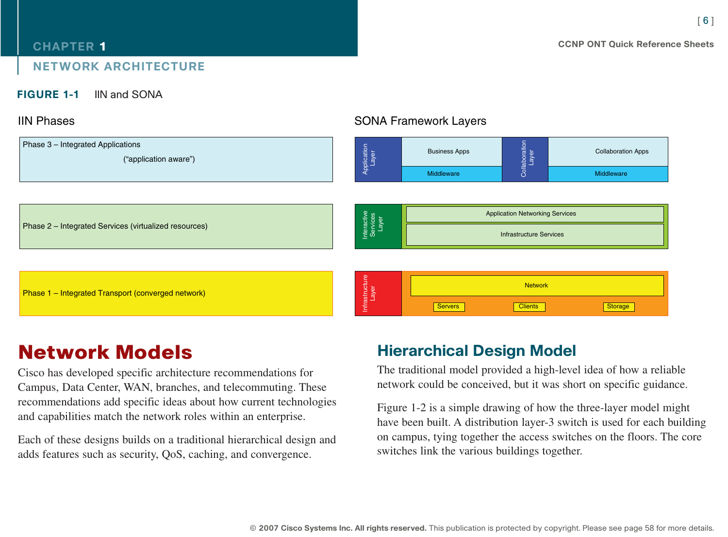[ 6 ]

#### **CHAPTER** 1

#### **NETWORK ARCHITECTURE**

#### **FIGURE 1-1 IIN and SONA**

#### IIN Phases **SONA Framework Layers** SONA Framework Layers

| Phase 3 - Integrated Applications<br>("application aware") | Application<br>Layer             | <b>Business Apps</b><br>Middleware                                       | Collaboration | <b>Collaboration Apps</b><br>Middleware |
|------------------------------------------------------------|----------------------------------|--------------------------------------------------------------------------|---------------|-----------------------------------------|
| Phase 2 - Integrated Services (virtualized resources)      | Interactive<br>Services<br>Layer | <b>Application Networking Services</b><br><b>Infrastructure Services</b> |               |                                         |
| Phase 1 - Integrated Transport (converged network)         | Infrastructure<br>Layer          | <b>Network</b><br><b>Servers</b><br><b>Clients</b><br>Storage            |               |                                         |

### Network Models

Cisco has developed specific architecture recommendations for Campus, Data Center, WAN, branches, and telecommuting. These recommendations add specific ideas about how current technologies and capabilities match the network roles within an enterprise.

Each of these designs builds on a traditional hierarchical design and adds features such as security, QoS, caching, and convergence.

#### **Hierarchical Design Model**

The traditional model provided a high-level idea of how a reliable network could be conceived, but it was short on specific guidance.

Figure 1-2 is a simple drawing of how the three-layer model might have been built. A distribution layer-3 switch is used for each building on campus, tying together the access switches on the floors. The core switches link the various buildings together.